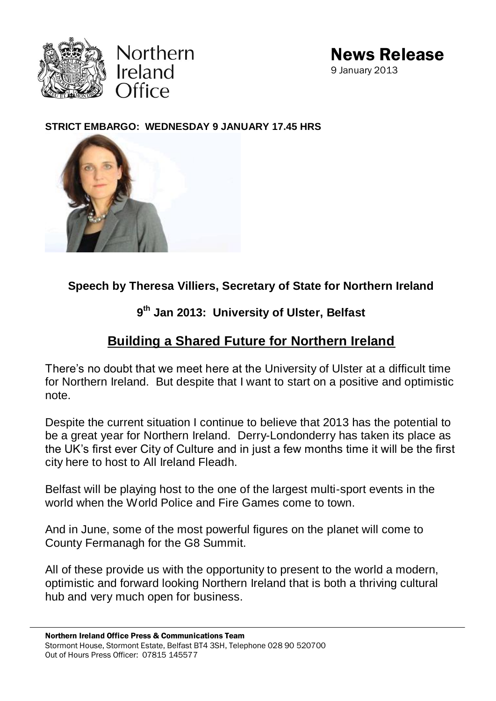



#### **STRICT EMBARGO: WEDNESDAY 9 JANUARY 17.45 HRS**



**Speech by Theresa Villiers, Secretary of State for Northern Ireland**

## **9 th Jan 2013: University of Ulster, Belfast**

# **Building a Shared Future for Northern Ireland**

There's no doubt that we meet here at the University of Ulster at a difficult time for Northern Ireland. But despite that I want to start on a positive and optimistic note.

Despite the current situation I continue to believe that 2013 has the potential to be a great year for Northern Ireland. Derry-Londonderry has taken its place as the UK's first ever City of Culture and in just a few months time it will be the first city here to host to All Ireland Fleadh.

Belfast will be playing host to the one of the largest multi-sport events in the world when the World Police and Fire Games come to town.

And in June, some of the most powerful figures on the planet will come to County Fermanagh for the G8 Summit.

All of these provide us with the opportunity to present to the world a modern, optimistic and forward looking Northern Ireland that is both a thriving cultural hub and very much open for business.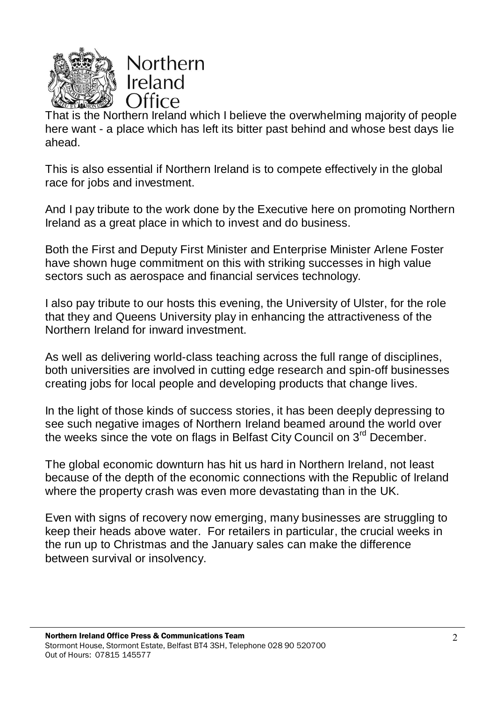

That is the Northern Ireland which I believe the overwhelming majority of people here want - a place which has left its bitter past behind and whose best days lie ahead.

This is also essential if Northern Ireland is to compete effectively in the global race for jobs and investment.

And I pay tribute to the work done by the Executive here on promoting Northern Ireland as a great place in which to invest and do business.

Both the First and Deputy First Minister and Enterprise Minister Arlene Foster have shown huge commitment on this with striking successes in high value sectors such as aerospace and financial services technology.

I also pay tribute to our hosts this evening, the University of Ulster, for the role that they and Queens University play in enhancing the attractiveness of the Northern Ireland for inward investment.

As well as delivering world-class teaching across the full range of disciplines, both universities are involved in cutting edge research and spin-off businesses creating jobs for local people and developing products that change lives.

In the light of those kinds of success stories, it has been deeply depressing to see such negative images of Northern Ireland beamed around the world over the weeks since the vote on flags in Belfast City Council on 3<sup>rd</sup> December.

The global economic downturn has hit us hard in Northern Ireland, not least because of the depth of the economic connections with the Republic of Ireland where the property crash was even more devastating than in the UK.

Even with signs of recovery now emerging, many businesses are struggling to keep their heads above water. For retailers in particular, the crucial weeks in the run up to Christmas and the January sales can make the difference between survival or insolvency.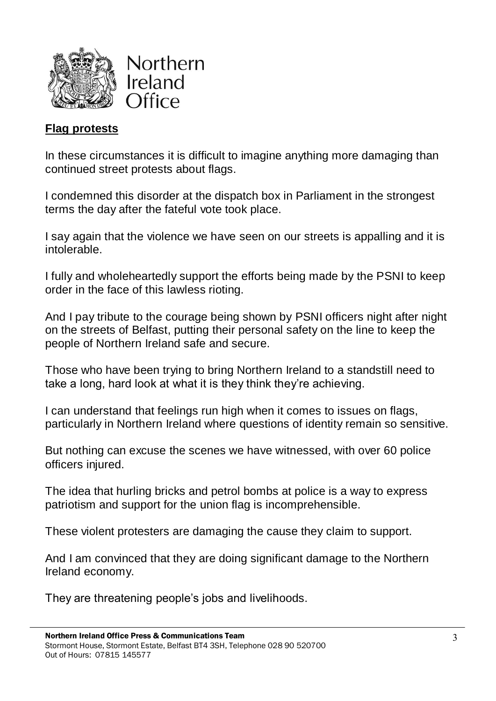



#### **Flag protests**

In these circumstances it is difficult to imagine anything more damaging than continued street protests about flags.

I condemned this disorder at the dispatch box in Parliament in the strongest terms the day after the fateful vote took place.

I say again that the violence we have seen on our streets is appalling and it is intolerable.

I fully and wholeheartedly support the efforts being made by the PSNI to keep order in the face of this lawless rioting.

And I pay tribute to the courage being shown by PSNI officers night after night on the streets of Belfast, putting their personal safety on the line to keep the people of Northern Ireland safe and secure.

Those who have been trying to bring Northern Ireland to a standstill need to take a long, hard look at what it is they think they're achieving.

I can understand that feelings run high when it comes to issues on flags, particularly in Northern Ireland where questions of identity remain so sensitive.

But nothing can excuse the scenes we have witnessed, with over 60 police officers injured.

The idea that hurling bricks and petrol bombs at police is a way to express patriotism and support for the union flag is incomprehensible.

These violent protesters are damaging the cause they claim to support.

And I am convinced that they are doing significant damage to the Northern Ireland economy.

They are threatening people's jobs and livelihoods.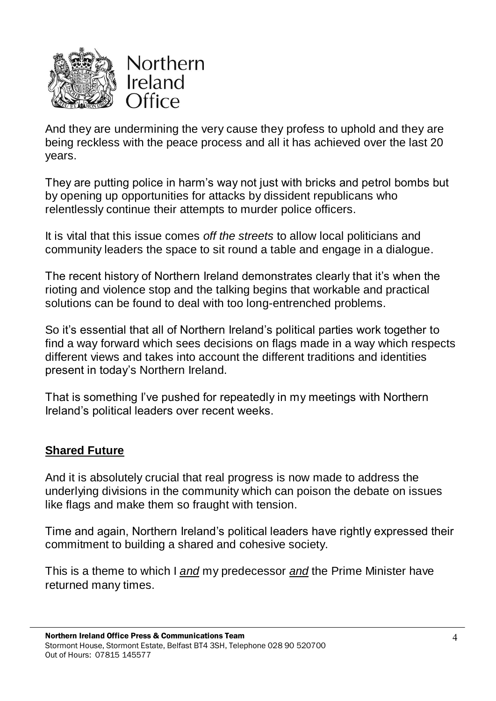

And they are undermining the very cause they profess to uphold and they are being reckless with the peace process and all it has achieved over the last 20 years.

They are putting police in harm's way not just with bricks and petrol bombs but by opening up opportunities for attacks by dissident republicans who relentlessly continue their attempts to murder police officers.

It is vital that this issue comes *off the streets* to allow local politicians and community leaders the space to sit round a table and engage in a dialogue.

The recent history of Northern Ireland demonstrates clearly that it's when the rioting and violence stop and the talking begins that workable and practical solutions can be found to deal with too long-entrenched problems.

So it's essential that all of Northern Ireland's political parties work together to find a way forward which sees decisions on flags made in a way which respects different views and takes into account the different traditions and identities present in today's Northern Ireland.

That is something I've pushed for repeatedly in my meetings with Northern Ireland's political leaders over recent weeks.

### **Shared Future**

And it is absolutely crucial that real progress is now made to address the underlying divisions in the community which can poison the debate on issues like flags and make them so fraught with tension.

Time and again, Northern Ireland's political leaders have rightly expressed their commitment to building a shared and cohesive society.

This is a theme to which I *and* my predecessor *and* the Prime Minister have returned many times.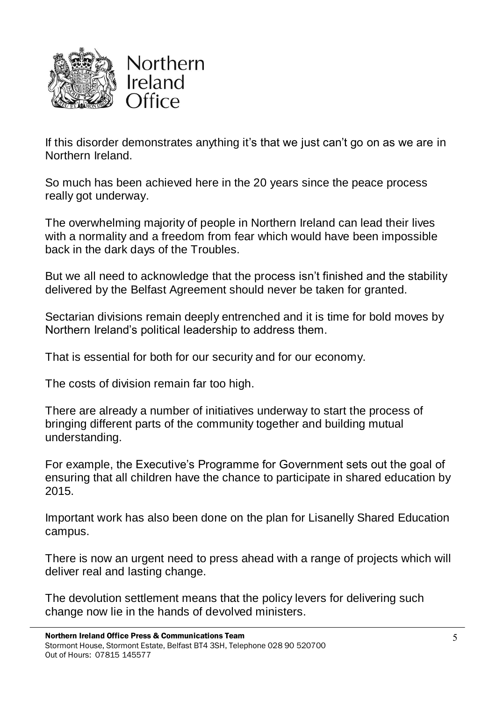

If this disorder demonstrates anything it's that we just can't go on as we are in Northern Ireland.

So much has been achieved here in the 20 years since the peace process really got underway.

The overwhelming majority of people in Northern Ireland can lead their lives with a normality and a freedom from fear which would have been impossible back in the dark days of the Troubles.

But we all need to acknowledge that the process isn't finished and the stability delivered by the Belfast Agreement should never be taken for granted.

Sectarian divisions remain deeply entrenched and it is time for bold moves by Northern Ireland's political leadership to address them.

That is essential for both for our security and for our economy.

The costs of division remain far too high.

There are already a number of initiatives underway to start the process of bringing different parts of the community together and building mutual understanding.

For example, the Executive's Programme for Government sets out the goal of ensuring that all children have the chance to participate in shared education by 2015.

Important work has also been done on the plan for Lisanelly Shared Education campus.

There is now an urgent need to press ahead with a range of projects which will deliver real and lasting change.

The devolution settlement means that the policy levers for delivering such change now lie in the hands of devolved ministers.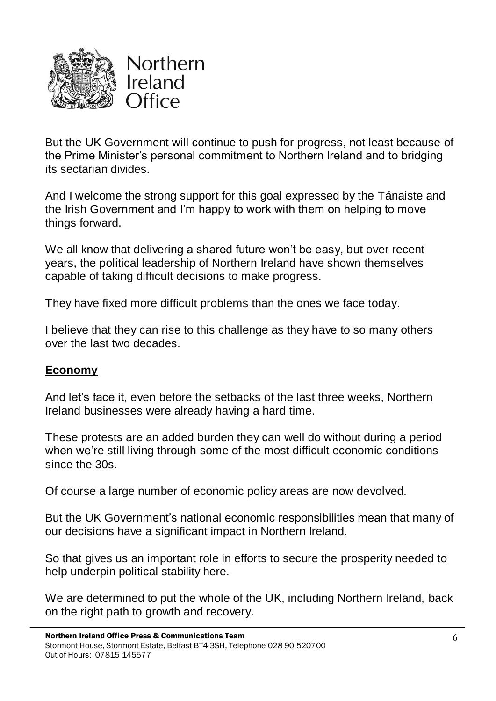

But the UK Government will continue to push for progress, not least because of the Prime Minister's personal commitment to Northern Ireland and to bridging its sectarian divides.

And I welcome the strong support for this goal expressed by the Tánaiste and the Irish Government and I'm happy to work with them on helping to move things forward.

We all know that delivering a shared future won't be easy, but over recent years, the political leadership of Northern Ireland have shown themselves capable of taking difficult decisions to make progress.

They have fixed more difficult problems than the ones we face today.

I believe that they can rise to this challenge as they have to so many others over the last two decades.

#### **Economy**

And let's face it, even before the setbacks of the last three weeks, Northern Ireland businesses were already having a hard time.

These protests are an added burden they can well do without during a period when we're still living through some of the most difficult economic conditions since the 30s.

Of course a large number of economic policy areas are now devolved.

But the UK Government's national economic responsibilities mean that many of our decisions have a significant impact in Northern Ireland.

So that gives us an important role in efforts to secure the prosperity needed to help underpin political stability here.

We are determined to put the whole of the UK, including Northern Ireland, back on the right path to growth and recovery.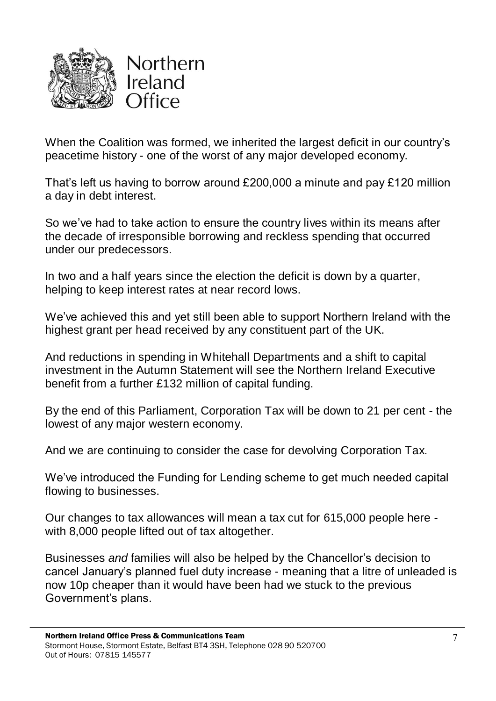

When the Coalition was formed, we inherited the largest deficit in our country's peacetime history - one of the worst of any major developed economy.

That's left us having to borrow around £200,000 a minute and pay £120 million a day in debt interest.

So we've had to take action to ensure the country lives within its means after the decade of irresponsible borrowing and reckless spending that occurred under our predecessors.

In two and a half years since the election the deficit is down by a quarter, helping to keep interest rates at near record lows.

We've achieved this and yet still been able to support Northern Ireland with the highest grant per head received by any constituent part of the UK.

And reductions in spending in Whitehall Departments and a shift to capital investment in the Autumn Statement will see the Northern Ireland Executive benefit from a further £132 million of capital funding.

By the end of this Parliament, Corporation Tax will be down to 21 per cent - the lowest of any major western economy.

And we are continuing to consider the case for devolving Corporation Tax.

We've introduced the Funding for Lending scheme to get much needed capital flowing to businesses.

Our changes to tax allowances will mean a tax cut for 615,000 people here with 8,000 people lifted out of tax altogether.

Businesses *and* families will also be helped by the Chancellor's decision to cancel January's planned fuel duty increase - meaning that a litre of unleaded is now 10p cheaper than it would have been had we stuck to the previous Government's plans.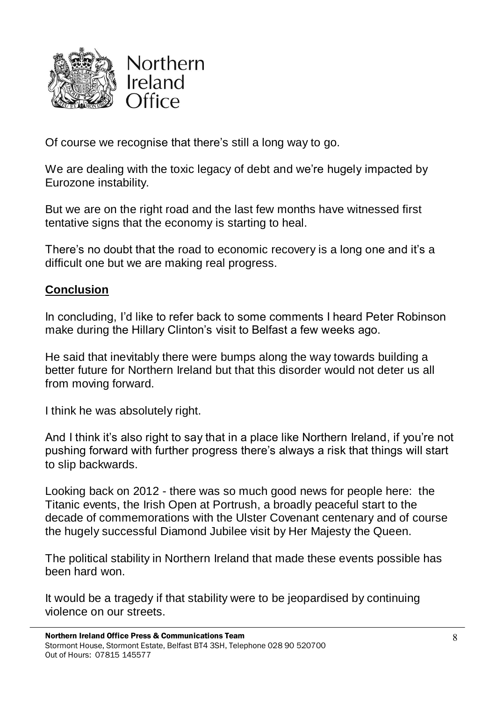

Of course we recognise that there's still a long way to go.

We are dealing with the toxic legacy of debt and we're hugely impacted by Eurozone instability.

But we are on the right road and the last few months have witnessed first tentative signs that the economy is starting to heal.

There's no doubt that the road to economic recovery is a long one and it's a difficult one but we are making real progress.

#### **Conclusion**

In concluding, I'd like to refer back to some comments I heard Peter Robinson make during the Hillary Clinton's visit to Belfast a few weeks ago.

He said that inevitably there were bumps along the way towards building a better future for Northern Ireland but that this disorder would not deter us all from moving forward.

I think he was absolutely right.

And I think it's also right to say that in a place like Northern Ireland, if you're not pushing forward with further progress there's always a risk that things will start to slip backwards.

Looking back on 2012 - there was so much good news for people here: the Titanic events, the Irish Open at Portrush, a broadly peaceful start to the decade of commemorations with the Ulster Covenant centenary and of course the hugely successful Diamond Jubilee visit by Her Majesty the Queen.

The political stability in Northern Ireland that made these events possible has been hard won.

It would be a tragedy if that stability were to be jeopardised by continuing violence on our streets.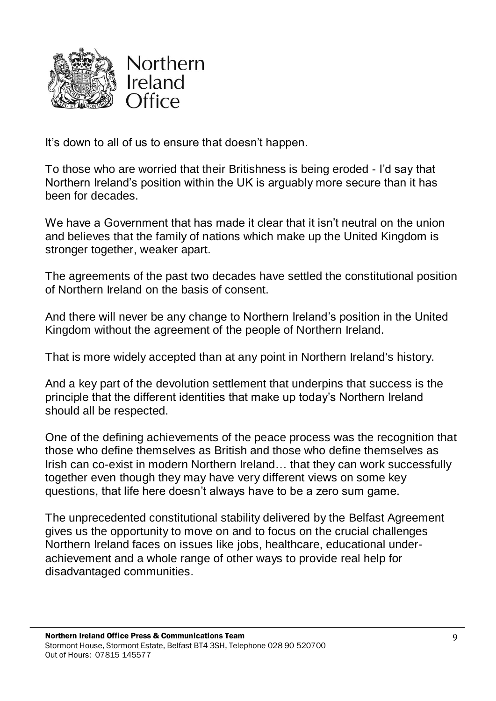

It's down to all of us to ensure that doesn't happen.

To those who are worried that their Britishness is being eroded - I'd say that Northern Ireland's position within the UK is arguably more secure than it has been for decades.

We have a Government that has made it clear that it isn't neutral on the union and believes that the family of nations which make up the United Kingdom is stronger together, weaker apart.

The agreements of the past two decades have settled the constitutional position of Northern Ireland on the basis of consent.

And there will never be any change to Northern Ireland's position in the United Kingdom without the agreement of the people of Northern Ireland.

That is more widely accepted than at any point in Northern Ireland's history.

And a key part of the devolution settlement that underpins that success is the principle that the different identities that make up today's Northern Ireland should all be respected.

One of the defining achievements of the peace process was the recognition that those who define themselves as British and those who define themselves as Irish can co-exist in modern Northern Ireland… that they can work successfully together even though they may have very different views on some key questions, that life here doesn't always have to be a zero sum game.

The unprecedented constitutional stability delivered by the Belfast Agreement gives us the opportunity to move on and to focus on the crucial challenges Northern Ireland faces on issues like jobs, healthcare, educational underachievement and a whole range of other ways to provide real help for disadvantaged communities.